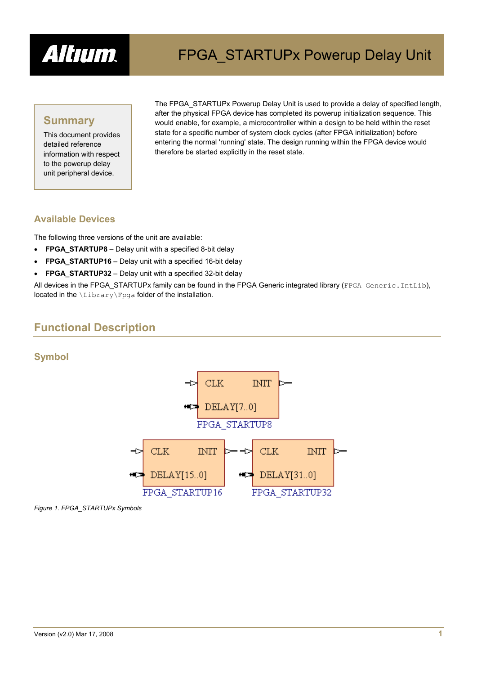

### **Summary**

This document provides detailed reference information with respect to the powerup delay unit peripheral device.

The FPGA\_STARTUPx Powerup Delay Unit is used to provide a delay of specified length, after the physical FPGA device has completed its powerup initialization sequence. This would enable, for example, a microcontroller within a design to be held within the reset state for a specific number of system clock cycles (after FPGA initialization) before entering the normal 'running' state. The design running within the FPGA device would therefore be started explicitly in the reset state.

#### **Available Devices**

The following three versions of the unit are available:

- **FPGA\_STARTUP8** Delay unit with a specified 8-bit delay
- **FPGA\_STARTUP16** Delay unit with a specified 16-bit delay
- **FPGA\_STARTUP32** Delay unit with a specified 32-bit delay

All devices in the FPGA\_STARTUPx family can be found in the FPGA Generic integrated library (FPGA Generic.IntLib), located in the \Library\Fpga folder of the installation.

## **Functional Description**

#### **Symbol**



*Figure 1. FPGA\_STARTUPx Symbols*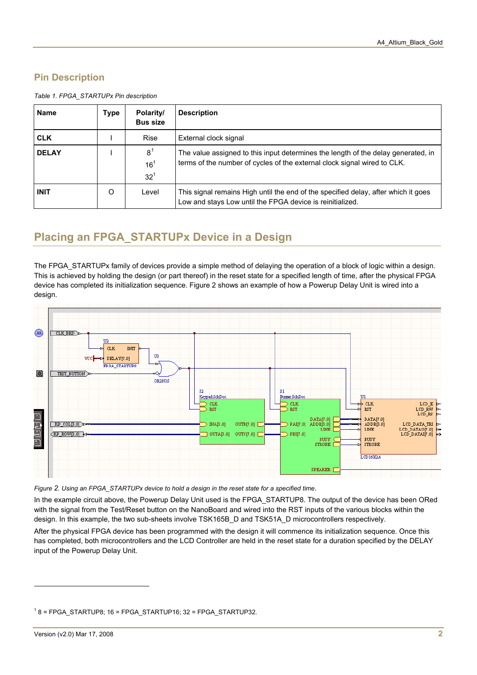### **Pin Description**

<span id="page-1-1"></span>

| <b>Name</b>  | Type | Polarity/<br><b>Bus size</b>                  | <b>Description</b>                                                                                                                                            |
|--------------|------|-----------------------------------------------|---------------------------------------------------------------------------------------------------------------------------------------------------------------|
| <b>CLK</b>   |      | <b>Rise</b>                                   | External clock signal                                                                                                                                         |
| <b>DELAY</b> |      | 8 <sup>1</sup><br>16 <sup>1</sup><br>$32^{1}$ | The value assigned to this input determines the length of the delay generated, in<br>terms of the number of cycles of the external clock signal wired to CLK. |
| <b>INIT</b>  | O    | Level                                         | This signal remains High until the end of the specified delay, after which it goes<br>Low and stays Low until the FPGA device is reinitialized.               |

*Table 1. FPGA\_STARTUPx Pin description* 

## **Placing an FPGA\_STARTUPx Device in a Design**

The FPGA\_STARTUPx family of devices provide a simple method of delaying the operation of a block of logic within a design. This is achieved by holding the design (or part thereof) in the reset state for a specified length of time, after the physical FPGA device has completed its initialization sequence. [Figure 2](#page-1-2) shows an example of how a Powerup Delay Unit is wired into a design.



<span id="page-1-2"></span>*Figure 2. Using an FPGA\_STARTUPx device to hold a design in the reset state for a specified time*.

In the example circuit above, the Powerup Delay Unit used is the FPGA\_STARTUP8. The output of the device has been ORed with the signal from the Test/Reset button on the NanoBoard and wired into the RST inputs of the various blocks within the design. In this example, the two sub-sheets involve TSK165B\_D and TSK51A\_D microcontrollers respectively.

After the physical FPGA device has been programmed with the design it will commence its initialization sequence. Once this has completed, both microcontrollers and the LCD Controller are held in the reset state for a duration specified by the DELAY input of the Powerup Delay Unit.

 $\overline{a}$ 

<span id="page-1-0"></span> $18$  = FPGA\_STARTUP8; 16 = FPGA\_STARTUP16; 32 = FPGA\_STARTUP32.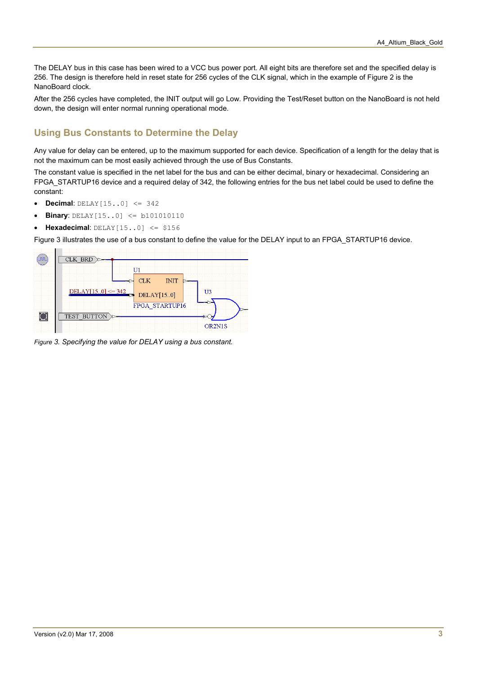The DELAY bus in this case has been wired to a VCC bus power port. All eight bits are therefore set and the specified delay is 256. The design is therefore held in reset state for 256 cycles of the CLK signal, which in the example of Figure 2 is the NanoBoard clock.

After the 256 cycles have completed, the INIT output will go Low. Providing the Test/Reset button on the NanoBoard is not held down, the design will enter normal running operational mode.

#### **Using Bus Constants to Determine the Delay**

Any value for delay can be entered, up to the maximum supported for each device. Specification of a length for the delay that is not the maximum can be most easily achieved through the use of Bus Constants.

The constant value is specified in the net label for the bus and can be either decimal, binary or hexadecimal. Considering an FPGA\_STARTUP16 device and a required delay of 342, the following entries for the bus net label could be used to define the constant:

- **Decimal**: DELAY[15..0] <= 342
- **Binary**:  $DELAY[15..0] \leq b101010110$
- **Hexadecimal**: DELAY[15..0] <= \$156

Figure 3 illustrates the use of a bus constant to define the value for the DELAY input to an FPGA\_STARTUP16 device.



*Figure 3. Specifying the value for DELAY using a bus constant.*